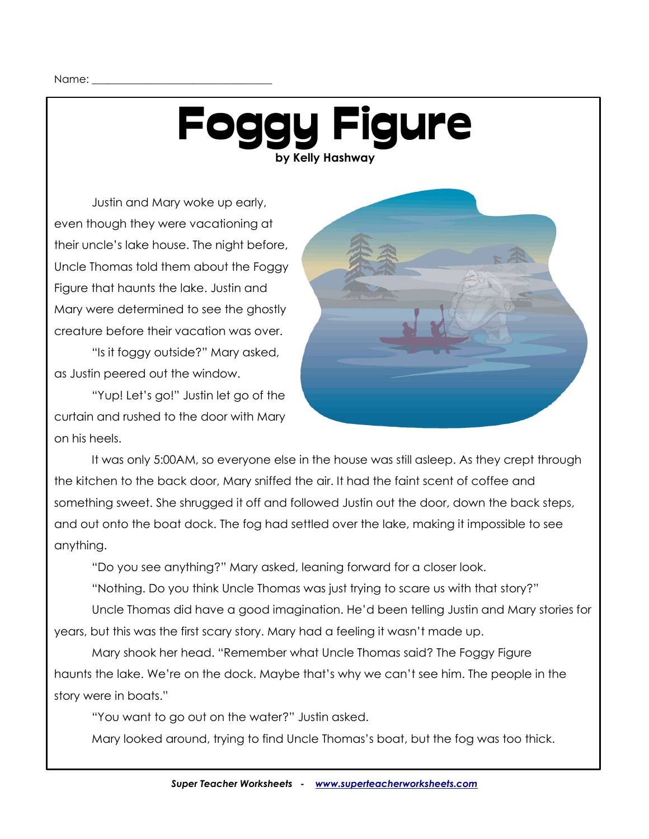## Foggy Figure **by Kelly Hashway**

Justin and Mary woke up early, even though they were vacationing at their uncle's lake house. The night before, Uncle Thomas told them about the Foggy Figure that haunts the lake. Justin and Mary were determined to see the ghostly creature before their vacation was over.

"Is it foggy outside?" Mary asked, as Justin peered out the window.

"Yup! Let's go!" Justin let go of the curtain and rushed to the door with Mary on his heels.



It was only 5:00AM, so everyone else in the house was still asleep. As they crept through the kitchen to the back door, Mary sniffed the air. It had the faint scent of coffee and something sweet. She shrugged it off and followed Justin out the door, down the back steps, and out onto the boat dock. The fog had settled over the lake, making it impossible to see anything.

"Do you see anything?" Mary asked, leaning forward for a closer look.

"Nothing. Do you think Uncle Thomas was just trying to scare us with that story?"

Uncle Thomas did have a good imagination. He'd been telling Justin and Mary stories for years, but this was the first scary story. Mary had a feeling it wasn't made up.

Mary shook her head. "Remember what Uncle Thomas said? The Foggy Figure haunts the lake. We're on the dock. Maybe that's why we can't see him. The people in the story were in boats."

"You want to go out on the water?" Justin asked.

Mary looked around, trying to find Uncle Thomas's boat, but the fog was too thick.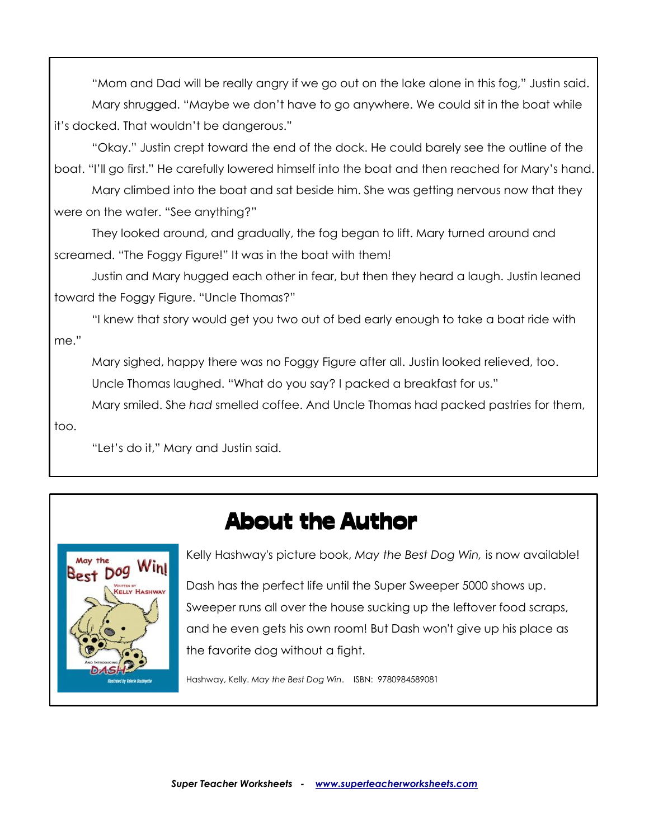"Mom and Dad will be really angry if we go out on the lake alone in this fog," Justin said. Mary shrugged. "Maybe we don't have to go anywhere. We could sit in the boat while it's docked. That wouldn't be dangerous."

"Okay." Justin crept toward the end of the dock. He could barely see the outline of the boat. "I'll go first." He carefully lowered himself into the boat and then reached for Mary's hand. Mary climbed into the boat and sat beside him. She was getting nervous now that they were on the water. "See anything?"

They looked around, and gradually, the fog began to lift. Mary turned around and screamed. "The Foggy Figure!" It was in the boat with them!

Justin and Mary hugged each other in fear, but then they heard a laugh. Justin leaned toward the Foggy Figure. "Uncle Thomas?"

"I knew that story would get you two out of bed early enough to take a boat ride with me."

Mary sighed, happy there was no Foggy Figure after all. Justin looked relieved, too.

Uncle Thomas laughed. "What do you say? I packed a breakfast for us."

Mary smiled. She *had* smelled coffee. And Uncle Thomas had packed pastries for them,

"Let's do it," Mary and Justin said.



too.

About the Author

Kelly Hashway's picture book, *May the Best Dog Win,* is now available!

Dash has the perfect life until the Super Sweeper 5000 shows up. Sweeper runs all over the house sucking up the leftover food scraps, and he even gets his own room! But Dash won't give up his place as the favorite dog without a fight.

Hashway, Kelly. *May the Best Dog Win*. ISBN: 9780984589081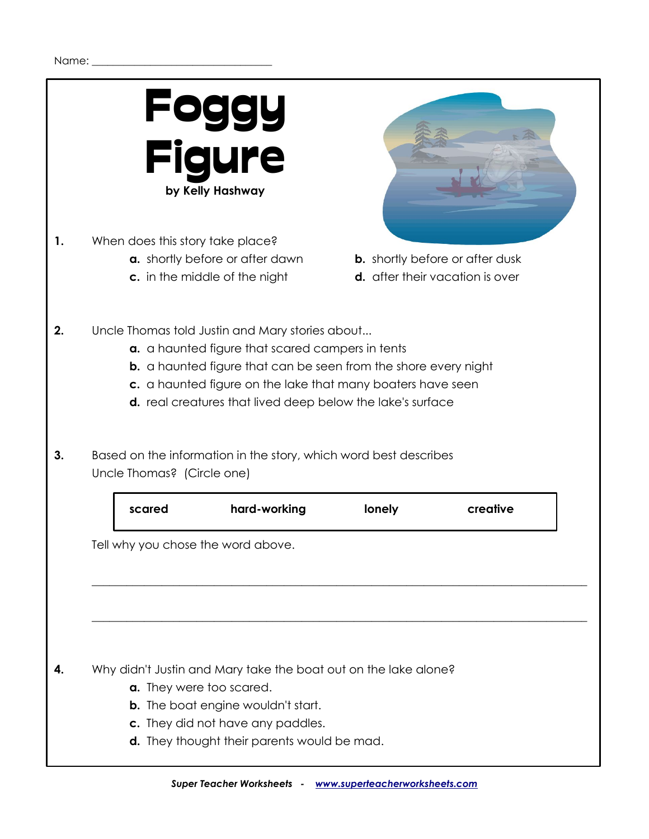

**1.** When does this story take place?

- **a.** shortly before or after dawn **b.** shortly before or after dusk
- 



- 
- **c.** in the middle of the night **d.** after their vacation is over
- **2.** Uncle Thomas told Justin and Mary stories about...
	- **a.** a haunted figure that scared campers in tents
	- **b.** a haunted figure that can be seen from the shore every night
	- **c.** a haunted figure on the lake that many boaters have seen
	- **d.** real creatures that lived deep below the lake's surface
- **3.** Based on the information in the story, which word best describes Uncle Thomas? (Circle one)

| scared | hard-working                 | lonely | creative |
|--------|------------------------------|--------|----------|
|        | why you chose the word above |        |          |

**\_\_\_\_\_\_\_\_\_\_\_\_\_\_\_\_\_\_\_\_\_\_\_\_\_\_\_\_\_\_\_\_\_\_\_\_\_\_\_\_\_\_\_\_\_\_\_\_\_\_\_\_\_\_\_\_\_\_\_\_\_\_\_\_\_\_\_\_\_\_\_\_\_\_\_\_\_\_\_\_\_\_\_\_\_**

**\_\_\_\_\_\_\_\_\_\_\_\_\_\_\_\_\_\_\_\_\_\_\_\_\_\_\_\_\_\_\_\_\_\_\_\_\_\_\_\_\_\_\_\_\_\_\_\_\_\_\_\_\_\_\_\_\_\_\_\_\_\_\_\_\_\_\_\_\_\_\_\_\_\_\_\_\_\_\_\_\_\_\_\_\_**

Tell why you chose the word above.

## **4.** Why didn't Justin and Mary take the boat out on the lake alone?

- **a.** They were too scared.
- **b.** The boat engine wouldn't start.
- **c.** They did not have any paddles.
- **d.** They thought their parents would be mad.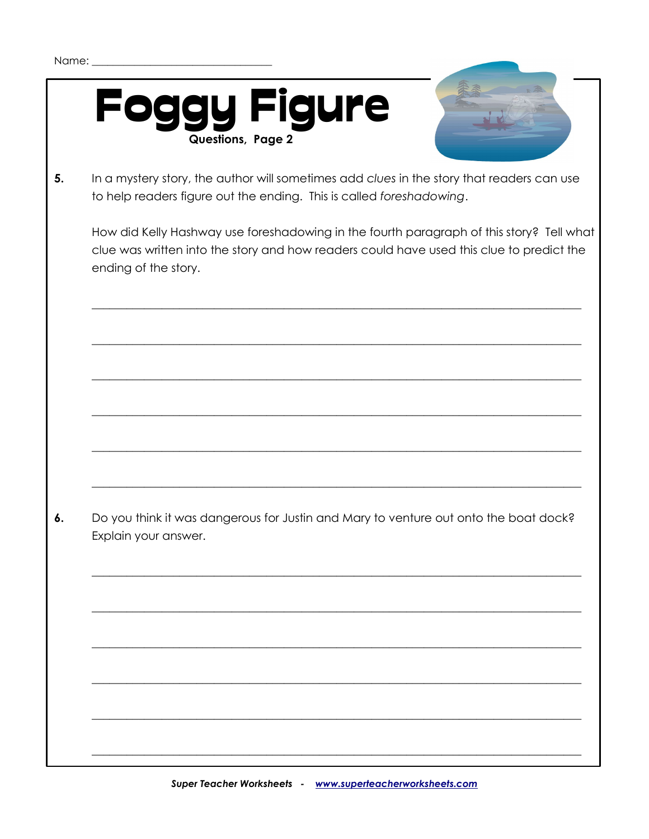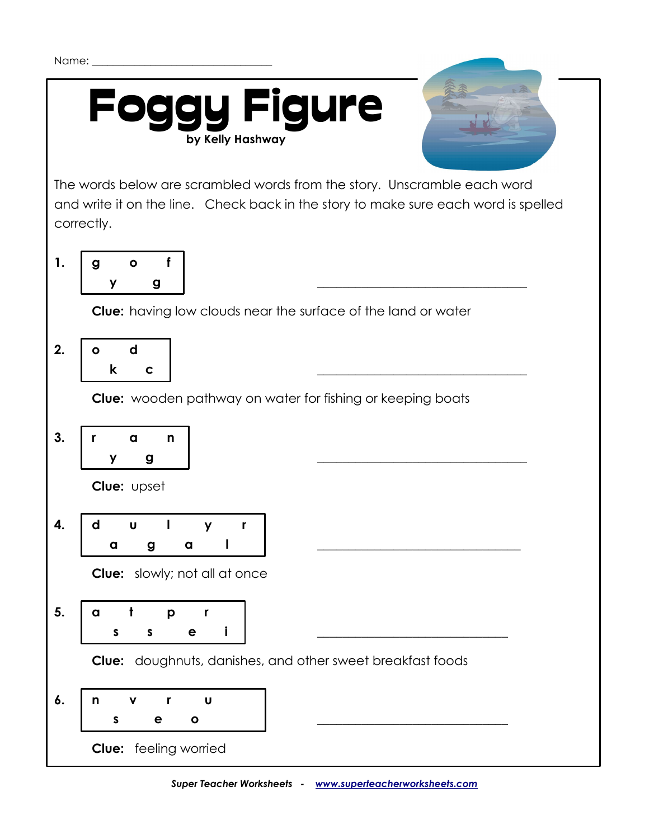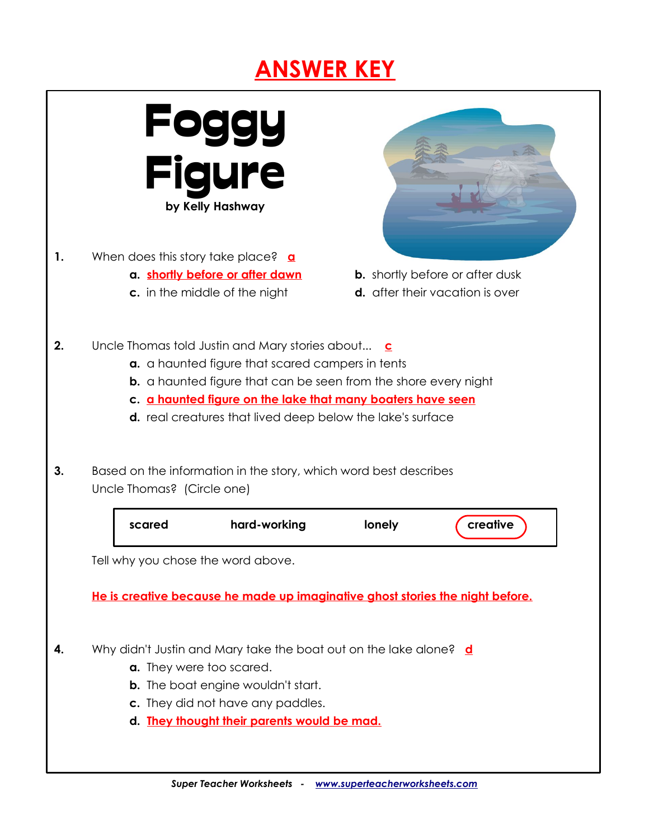## **ANSWER KEY**

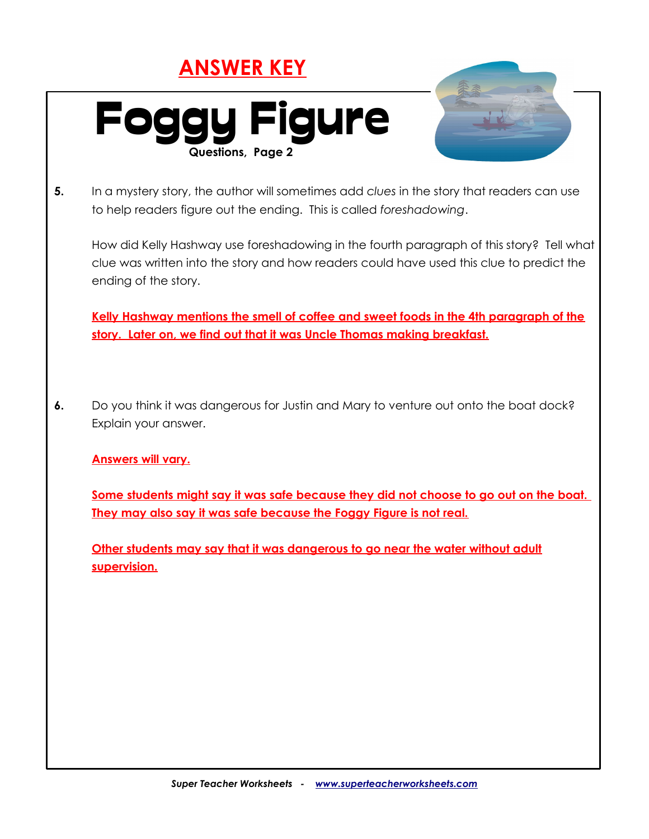## **ANSWER KEY**



**Other students may say that it was dangerous to go near the water without adult supervision.**